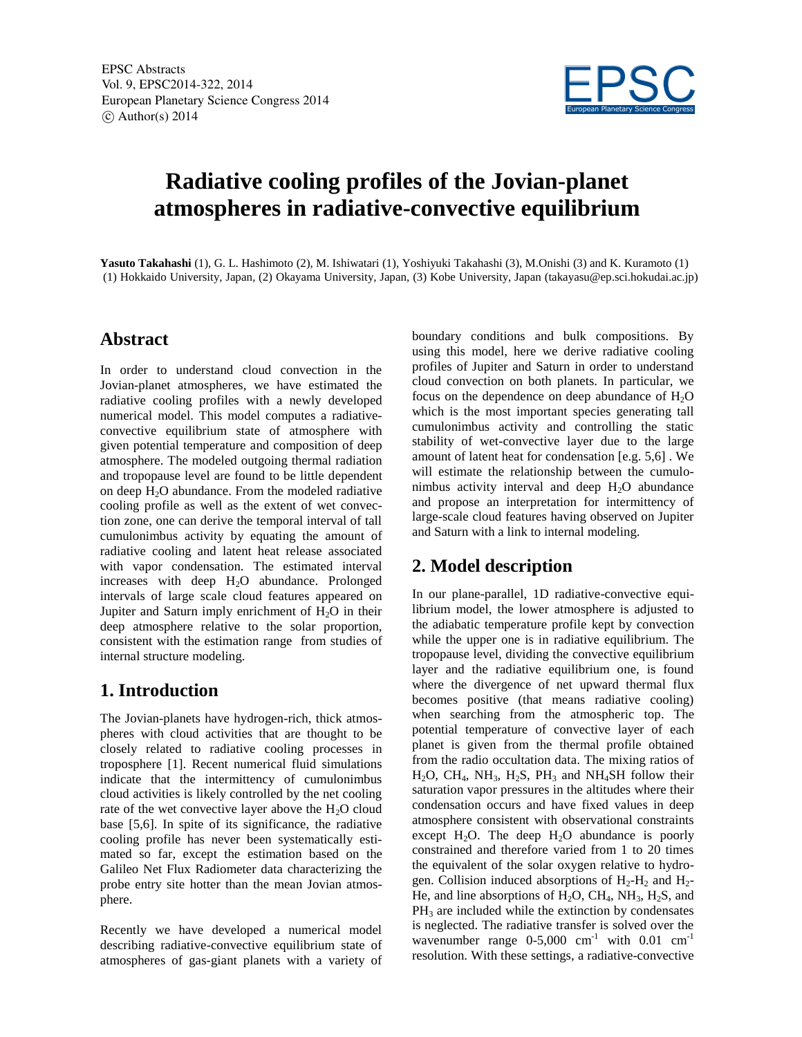

# **Radiative cooling profiles of the Jovian-planet atmospheres in radiative-convective equilibrium**

**Yasuto Takahashi** (1), G. L. Hashimoto (2), M. Ishiwatari (1), Yoshiyuki Takahashi (3), M.Onishi (3) and K. Kuramoto (1) (1) Hokkaido University, Japan, (2) Okayama University, Japan, (3) Kobe University, Japan (takayasu@ep.sci.hokudai.ac.jp)

#### **Abstract**

In order to understand cloud convection in the Jovian-planet atmospheres, we have estimated the radiative cooling profiles with a newly developed numerical model. This model computes a radiativeconvective equilibrium state of atmosphere with given potential temperature and composition of deep atmosphere. The modeled outgoing thermal radiation and tropopause level are found to be little dependent on deep  $H_2O$  abundance. From the modeled radiative cooling profile as well as the extent of wet convection zone, one can derive the temporal interval of tall cumulonimbus activity by equating the amount of radiative cooling and latent heat release associated with vapor condensation. The estimated interval increases with deep H2O abundance. Prolonged intervals of large scale cloud features appeared on Jupiter and Saturn imply enrichment of  $H<sub>2</sub>O$  in their deep atmosphere relative to the solar proportion, consistent with the estimation range from studies of internal structure modeling.

## **1. Introduction**

The Jovian-planets have hydrogen-rich, thick atmospheres with cloud activities that are thought to be closely related to radiative cooling processes in troposphere [1]. Recent numerical fluid simulations indicate that the intermittency of cumulonimbus cloud activities is likely controlled by the net cooling rate of the wet convective layer above the  $H_2O$  cloud base [5,6]. In spite of its significance, the radiative cooling profile has never been systematically estimated so far, except the estimation based on the Galileo Net Flux Radiometer data characterizing the probe entry site hotter than the mean Jovian atmosphere.

Recently we have developed a numerical model describing radiative-convective equilibrium state of atmospheres of gas-giant planets with a variety of boundary conditions and bulk compositions. By using this model, here we derive radiative cooling profiles of Jupiter and Saturn in order to understand cloud convection on both planets. In particular, we focus on the dependence on deep abundance of  $H_2O$ which is the most important species generating tall cumulonimbus activity and controlling the static stability of wet-convective layer due to the large amount of latent heat for condensation [e.g. 5,6] . We will estimate the relationship between the cumulonimbus activity interval and deep  $H_2O$  abundance and propose an interpretation for intermittency of large-scale cloud features having observed on Jupiter and Saturn with a link to internal modeling.

## **2. Model description**

In our plane-parallel, 1D radiative-convective equilibrium model, the lower atmosphere is adjusted to the adiabatic temperature profile kept by convection while the upper one is in radiative equilibrium. The tropopause level, dividing the convective equilibrium layer and the radiative equilibrium one, is found where the divergence of net upward thermal flux becomes positive (that means radiative cooling) when searching from the atmospheric top. The potential temperature of convective layer of each planet is given from the thermal profile obtained from the radio occultation data. The mixing ratios of  $H_2O$ , CH<sub>4</sub>, NH<sub>3</sub>, H<sub>2</sub>S, PH<sub>3</sub> and NH<sub>4</sub>SH follow their saturation vapor pressures in the altitudes where their condensation occurs and have fixed values in deep atmosphere consistent with observational constraints except  $H_2O$ . The deep  $H_2O$  abundance is poorly constrained and therefore varied from 1 to 20 times the equivalent of the solar oxygen relative to hydrogen. Collision induced absorptions of  $H_2-H_2$  and  $H_2$ -He, and line absorptions of  $H_2O$ ,  $CH_4$ ,  $NH_3$ ,  $H_2S$ , and  $PH<sub>3</sub>$  are included while the extinction by condensates is neglected. The radiative transfer is solved over the wavenumber range  $0-5,000$  cm<sup>-1</sup> with  $0.01$  cm<sup>-1</sup> resolution. With these settings, a radiative-convective